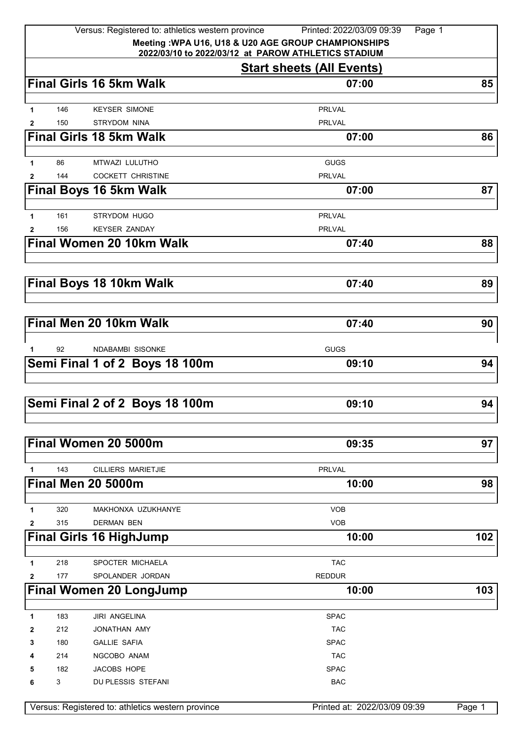|              |            | Versus: Registered to: athletics western province<br>Meeting : WPA U16, U18 & U20 AGE GROUP CHAMPIONSHIPS | Printed: 2022/03/09 09:39<br>Page 1 |        |
|--------------|------------|-----------------------------------------------------------------------------------------------------------|-------------------------------------|--------|
|              |            | 2022/03/10 to 2022/03/12 at PAROW ATHLETICS STADIUM                                                       |                                     |        |
|              |            |                                                                                                           | <b>Start sheets (All Events)</b>    |        |
|              |            | <b>Final Girls 16 5km Walk</b>                                                                            | 07:00                               | 85     |
|              | 146        |                                                                                                           |                                     |        |
| 1<br>2       | 150        | <b>KEYSER SIMONE</b><br>STRYDOM NINA                                                                      | <b>PRLVAL</b><br><b>PRLVAL</b>      |        |
|              |            | <b>Final Girls 18 5km Walk</b>                                                                            | 07:00                               | 86     |
|              |            |                                                                                                           |                                     |        |
| $\mathbf{1}$ | 86         | MTWAZI LULUTHO                                                                                            | <b>GUGS</b>                         |        |
| 2            | 144        | <b>COCKETT CHRISTINE</b>                                                                                  | <b>PRLVAL</b>                       |        |
|              |            | <b>Final Boys 16 5km Walk</b>                                                                             | 07:00                               | 87     |
|              |            |                                                                                                           |                                     |        |
| 1            | 161<br>156 | <b>STRYDOM HUGO</b><br><b>KEYSER ZANDAY</b>                                                               | <b>PRLVAL</b><br><b>PRLVAL</b>      |        |
| 2            |            | <b>Final Women 20 10km Walk</b>                                                                           | 07:40                               | 88     |
|              |            |                                                                                                           |                                     |        |
|              |            | <b>Final Boys 18 10km Walk</b>                                                                            | 07:40                               | 89     |
|              |            |                                                                                                           |                                     |        |
|              |            | Final Men 20 10km Walk                                                                                    | 07:40                               | 90     |
|              |            |                                                                                                           |                                     |        |
| $\mathbf{1}$ | 92         | <b>NDABAMBI SISONKE</b>                                                                                   | <b>GUGS</b>                         |        |
|              |            | Semi Final 1 of 2 Boys 18 100m                                                                            | 09:10                               | 94     |
|              |            |                                                                                                           |                                     |        |
|              |            |                                                                                                           |                                     |        |
|              |            | Semi Final 2 of 2 Boys 18 100m                                                                            | 09:10                               | 94     |
|              |            | Final Women 20 5000m                                                                                      | 09:35                               | 97     |
|              |            |                                                                                                           |                                     |        |
| 1            | 143        | <b>CILLIERS MARIETJIE</b>                                                                                 | <b>PRLVAL</b>                       |        |
|              |            | <b>Final Men 20 5000m</b>                                                                                 | 10:00                               | 98     |
|              |            |                                                                                                           |                                     |        |
| 1            | 320        | MAKHONXA UZUKHANYE                                                                                        | <b>VOB</b>                          |        |
| $\mathbf{2}$ | 315        | <b>DERMAN BEN</b>                                                                                         | <b>VOB</b>                          |        |
|              |            | <b>Final Girls 16 HighJump</b>                                                                            | 10:00                               | 102    |
| 1            | 218        | SPOCTER MICHAELA                                                                                          | <b>TAC</b>                          |        |
| $\mathbf{2}$ | 177        | SPOLANDER JORDAN                                                                                          | <b>REDDUR</b>                       |        |
|              |            | <b>Final Women 20 LongJump</b>                                                                            | 10:00                               | 103    |
|              |            |                                                                                                           |                                     |        |
| 1            | 183        | <b>JIRI ANGELINA</b>                                                                                      | <b>SPAC</b>                         |        |
| 2            | 212        | JONATHAN AMY                                                                                              | <b>TAC</b>                          |        |
| 3            | 180        | <b>GALLIE SAFIA</b>                                                                                       | <b>SPAC</b>                         |        |
| 4            | 214        | NGCOBO ANAM                                                                                               | <b>TAC</b>                          |        |
| 5            | 182        | JACOBS HOPE                                                                                               | <b>SPAC</b>                         |        |
| 6            | 3          | DU PLESSIS STEFANI                                                                                        | <b>BAC</b>                          |        |
|              |            | Versus: Registered to: athletics western province                                                         | Printed at: 2022/03/09 09:39        | Page 1 |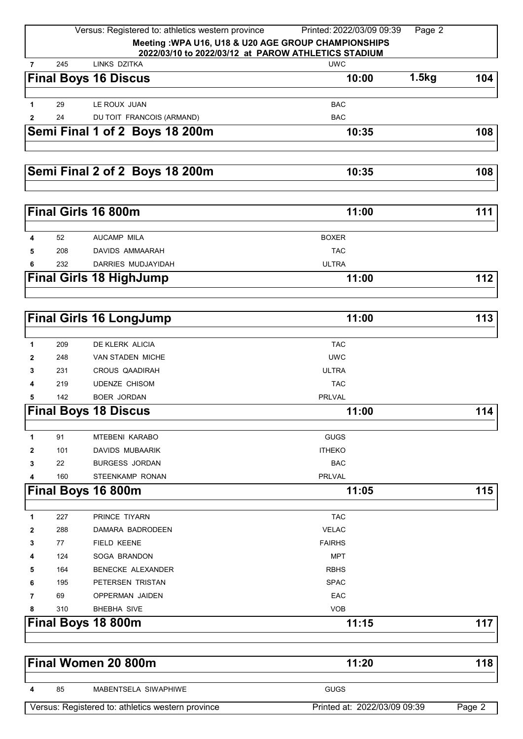|                |     | Versus: Registered to: athletics western province   | Printed: 2022/03/09 09:39<br>Page 2 |        |
|----------------|-----|-----------------------------------------------------|-------------------------------------|--------|
|                |     | Meeting: WPA U16, U18 & U20 AGE GROUP CHAMPIONSHIPS |                                     |        |
|                |     | 2022/03/10 to 2022/03/12 at PAROW ATHLETICS STADIUM |                                     |        |
| $\overline{7}$ | 245 | LINKS DZITKA                                        | <b>UWC</b>                          |        |
|                |     | <b>Final Boys 16 Discus</b>                         | 1.5kg<br>10:00                      | 104    |
|                |     |                                                     |                                     |        |
| 1              | 29  | LE ROUX JUAN                                        | <b>BAC</b>                          |        |
| $\mathbf{2}$   | 24  | DU TOIT FRANCOIS (ARMAND)                           | <b>BAC</b>                          |        |
|                |     | Semi Final 1 of 2 Boys 18 200m                      | 10:35                               | 108    |
|                |     | Semi Final 2 of 2 Boys 18 200m                      | 10:35                               | 108    |
|                |     |                                                     |                                     |        |
|                |     | Final Girls 16 800m                                 | 11:00                               | 111    |
|                |     |                                                     |                                     |        |
| 4              | 52  | <b>AUCAMP MILA</b>                                  | <b>BOXER</b>                        |        |
| 5              | 208 | DAVIDS AMMAARAH                                     | <b>TAC</b>                          |        |
| 6              | 232 | DARRIES MUDJAYIDAH                                  | <b>ULTRA</b>                        |        |
|                |     | <b>Final Girls 18 HighJump</b>                      | 11:00                               | 112    |
|                |     |                                                     |                                     |        |
|                |     | <b>Final Girls 16 LongJump</b>                      | 11:00                               | 113    |
| 1              | 209 | DE KLERK ALICIA                                     | <b>TAC</b>                          |        |
| 2              | 248 | <b>VAN STADEN MICHE</b>                             | <b>UWC</b>                          |        |
| 3              | 231 | CROUS QAADIRAH                                      | <b>ULTRA</b>                        |        |
| 4              | 219 | <b>UDENZE CHISOM</b>                                | <b>TAC</b>                          |        |
| 5              | 142 | <b>BOER JORDAN</b>                                  | <b>PRLVAL</b>                       |        |
|                |     | <b>Final Boys 18 Discus</b>                         | 11:00                               | 114    |
|                |     |                                                     |                                     |        |
| 1              | 91  | <b>MTEBENI KARABO</b>                               | <b>GUGS</b>                         |        |
| 2              | 101 | <b>DAVIDS MUBAARIK</b>                              | <b>ITHEKO</b>                       |        |
| 3              | 22  | <b>BURGESS JORDAN</b>                               | <b>BAC</b>                          |        |
| 4              | 160 | STEENKAMP RONAN                                     | <b>PRLVAL</b>                       |        |
|                |     | Final Boys 16 800m                                  | 11:05                               | 115    |
| 1              | 227 | PRINCE TIYARN                                       | <b>TAC</b>                          |        |
| 2              | 288 | DAMARA BADRODEEN                                    | <b>VELAC</b>                        |        |
| 3              | 77  | FIELD KEENE                                         | <b>FAIRHS</b>                       |        |
| 4              | 124 | SOGA BRANDON                                        | <b>MPT</b>                          |        |
| 5              | 164 | BENECKE ALEXANDER                                   | <b>RBHS</b>                         |        |
| 6              | 195 | PETERSEN TRISTAN                                    | <b>SPAC</b>                         |        |
| 7              | 69  | OPPERMAN JAIDEN                                     | EAC                                 |        |
| 8              | 310 | <b>BHEBHA SIVE</b>                                  | <b>VOB</b>                          |        |
|                |     | Final Boys 18 800m                                  | 11:15                               | 117    |
|                |     |                                                     |                                     |        |
|                |     | Final Women 20 800m                                 | 11:20                               | 118    |
| 4              | 85  | MABENTSELA SIWAPHIWE                                | <b>GUGS</b>                         |        |
|                |     | Versus: Registered to: athletics western province   | Printed at: 2022/03/09 09:39        | Page 2 |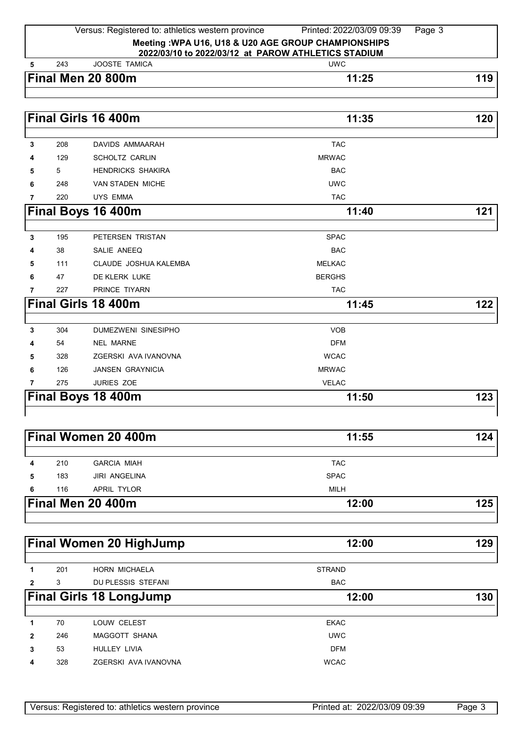## Versus: Registered to: athletics western province Printed: 2022/03/09 09:39 Page 3 **Meeting :WPA U16, U18 & U20 AGE GROUP CHAMPIONSHIPS 2022/03/10 to 2022/03/12 at PAROW ATHLETICS STADIUM**

|  | l<br>$\mathbf{4}$ |
|--|-------------------|
|  |                   |

 243 JOOSTE TAMICA UWC **Final Men 20 800m** 11:25 119

|                |     | Final Girls 16 400m        | 11:35         | 120 |
|----------------|-----|----------------------------|---------------|-----|
| 3              | 208 | <b>DAVIDS AMMAARAH</b>     | <b>TAC</b>    |     |
| 4              | 129 | <b>SCHOLTZ CARLIN</b>      | <b>MRWAC</b>  |     |
| 5              | 5   | <b>HENDRICKS SHAKIRA</b>   | <b>BAC</b>    |     |
| 6              | 248 | <b>VAN STADEN MICHE</b>    | <b>UWC</b>    |     |
| $\overline{7}$ | 220 | <b>UYS EMMA</b>            | <b>TAC</b>    |     |
|                |     | Final Boys 16 400m         | 11:40         | 121 |
| 3              | 195 | PETERSEN TRISTAN           | <b>SPAC</b>   |     |
| 4              | 38  | SALIE ANEEQ                | <b>BAC</b>    |     |
| 5              | 111 | CLAUDE JOSHUA KALEMBA      | <b>MELKAC</b> |     |
| 6              | 47  | DE KLERK LUKE              | <b>BERGHS</b> |     |
| $\overline{7}$ | 227 | PRINCE TIYARN              | <b>TAC</b>    |     |
|                |     | <b>Final Girls 18 400m</b> | 11:45         | 122 |
|                |     |                            |               |     |
| 3              | 304 | <b>DUMEZWENI SINESIPHO</b> | <b>VOB</b>    |     |
| 4              | 54  | <b>NEL MARNE</b>           | <b>DFM</b>    |     |
| 5              | 328 | ZGERSKI AVA IVANOVNA       | <b>WCAC</b>   |     |
| 6              | 126 | <b>JANSEN GRAYNICIA</b>    | <b>MRWAC</b>  |     |
| 7              | 275 | <b>JURIES ZOE</b>          | <b>VELAC</b>  |     |
|                |     | Final Boys 18 400m         | 11:50         | 123 |

| <b>Final Women 20 400m</b><br>11:55 |             |     |
|-------------------------------------|-------------|-----|
| <b>GARCIA MIAH</b><br>210           | <b>TAC</b>  |     |
| <b>JIRI ANGELINA</b><br>183         | <b>SPAC</b> |     |
| APRIL TYLOR<br>116                  | MILH        |     |
| Final Men 20 400m                   | 12:00       | 125 |
|                                     |             |     |

|                | <b>Final Women 20 HighJump</b> |                                | 12:00         | 129 |
|----------------|--------------------------------|--------------------------------|---------------|-----|
| 1              | 201                            | <b>HORN MICHAELA</b>           | <b>STRAND</b> |     |
| $\overline{2}$ | 3                              | DU PLESSIS STEFANI             | <b>BAC</b>    |     |
|                |                                | <b>Final Girls 18 LongJump</b> | 12:00         | 130 |
| 1              | 70                             | LOUW CELEST                    | <b>EKAC</b>   |     |
| $\overline{2}$ | 246                            | MAGGOTT SHANA                  | <b>UWC</b>    |     |
| 3              | 53                             | <b>HULLEY LIVIA</b>            | <b>DFM</b>    |     |
| 4              | 328                            | ZGERSKI AVA IVANOVNA           | <b>WCAC</b>   |     |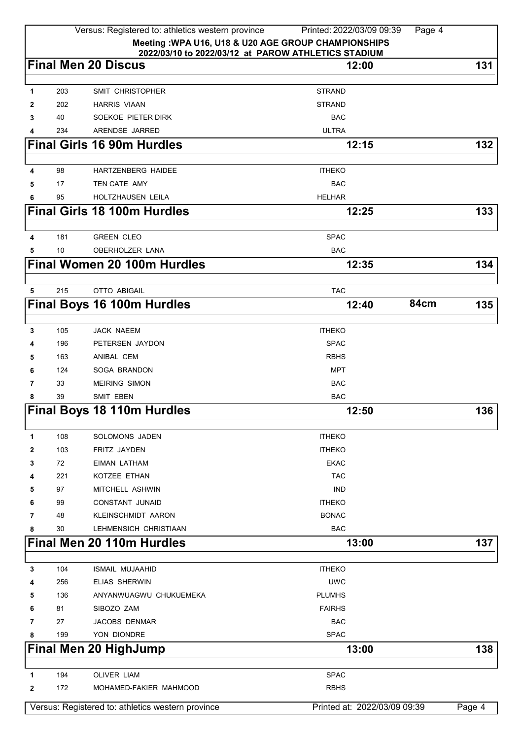|                |     | Versus: Registered to: athletics western province                                                          | Printed: 2022/03/09 09:39    | Page 4 |        |
|----------------|-----|------------------------------------------------------------------------------------------------------------|------------------------------|--------|--------|
|                |     | Meeting: WPA U16, U18 & U20 AGE GROUP CHAMPIONSHIPS<br>2022/03/10 to 2022/03/12 at PAROW ATHLETICS STADIUM |                              |        |        |
|                |     | <b>Final Men 20 Discus</b>                                                                                 | 12:00                        |        | 131    |
| $\mathbf{1}$   | 203 | <b>SMIT CHRISTOPHER</b>                                                                                    | <b>STRAND</b>                |        |        |
| 2              | 202 | <b>HARRIS VIAAN</b>                                                                                        | <b>STRAND</b>                |        |        |
| 3              | 40  | SOEKOE PIETER DIRK                                                                                         | <b>BAC</b>                   |        |        |
| 4              | 234 | ARENDSE JARRED                                                                                             | <b>ULTRA</b>                 |        |        |
|                |     | <b>Final Girls 16 90m Hurdles</b>                                                                          | 12:15                        |        | 132    |
| 4              | 98  | <b>HARTZENBERG HAIDEE</b>                                                                                  | <b>ITHEKO</b>                |        |        |
| 5              | 17  | <b>TEN CATE AMY</b>                                                                                        | <b>BAC</b>                   |        |        |
| 6              | 95  | HOLTZHAUSEN LEILA                                                                                          | <b>HELHAR</b>                |        |        |
|                |     | <b>Final Girls 18 100m Hurdles</b>                                                                         | 12:25                        |        | 133    |
|                |     |                                                                                                            |                              |        |        |
| 4              | 181 | <b>GREEN CLEO</b>                                                                                          | <b>SPAC</b>                  |        |        |
| 5              | 10  | OBERHOLZER LANA                                                                                            | <b>BAC</b>                   |        |        |
|                |     | <b>Final Women 20 100m Hurdles</b>                                                                         | 12:35                        |        | 134    |
| 5              | 215 | <b>OTTO ABIGAIL</b>                                                                                        | <b>TAC</b>                   |        |        |
|                |     | <b>Final Boys 16 100m Hurdles</b>                                                                          | 12:40                        | 84cm   | 135    |
|                |     |                                                                                                            |                              |        |        |
| 3              | 105 | <b>JACK NAEEM</b>                                                                                          | <b>ITHEKO</b>                |        |        |
| 4              | 196 | PETERSEN JAYDON                                                                                            | <b>SPAC</b>                  |        |        |
| 5              | 163 | ANIBAL CEM                                                                                                 | <b>RBHS</b>                  |        |        |
| 6              | 124 | SOGA BRANDON                                                                                               | <b>MPT</b>                   |        |        |
| 7              | 33  | <b>MEIRING SIMON</b>                                                                                       | <b>BAC</b>                   |        |        |
| 8              | 39  | <b>SMIT EBEN</b>                                                                                           | <b>BAC</b>                   |        |        |
|                |     | <b>Final Boys 18 110m Hurdles</b>                                                                          | 12:50                        |        | 136    |
| 1              | 108 | <b>SOLOMONS JADEN</b>                                                                                      | <b>ITHEKO</b>                |        |        |
| 2              | 103 | FRITZ JAYDEN                                                                                               | <b>ITHEKO</b>                |        |        |
| 3              | 72  | <b>EIMAN LATHAM</b>                                                                                        | <b>EKAC</b>                  |        |        |
| 4              | 221 | KOTZEE ETHAN                                                                                               | <b>TAC</b>                   |        |        |
| 5              | 97  | MITCHELL ASHWIN                                                                                            | <b>IND</b>                   |        |        |
| 6              | 99  | <b>CONSTANT JUNAID</b>                                                                                     | <b>ITHEKO</b>                |        |        |
| $\overline{7}$ | 48  | <b>KLEINSCHMIDT AARON</b>                                                                                  | <b>BONAC</b>                 |        |        |
| 8              | 30  | LEHMENSICH CHRISTIAAN                                                                                      | <b>BAC</b>                   |        |        |
|                |     | Final Men 20 110m Hurdles                                                                                  | 13:00                        |        | 137    |
| 3              | 104 | <b>ISMAIL MUJAAHID</b>                                                                                     | <b>ITHEKO</b>                |        |        |
| 4              | 256 | <b>ELIAS SHERWIN</b>                                                                                       | <b>UWC</b>                   |        |        |
| 5              | 136 | ANYANWUAGWU CHUKUEMEKA                                                                                     | <b>PLUMHS</b>                |        |        |
| 6              | 81  | SIBOZO ZAM                                                                                                 | <b>FAIRHS</b>                |        |        |
| 7              | 27  | <b>JACOBS DENMAR</b>                                                                                       | <b>BAC</b>                   |        |        |
| 8              | 199 | YON DIONDRE                                                                                                | <b>SPAC</b>                  |        |        |
|                |     | <b>Final Men 20 HighJump</b>                                                                               | 13:00                        |        | 138    |
|                |     |                                                                                                            |                              |        |        |
| 1              | 194 | <b>OLIVER LIAM</b>                                                                                         | <b>SPAC</b>                  |        |        |
| 2              | 172 | MOHAMED-FAKIER MAHMOOD                                                                                     | <b>RBHS</b>                  |        |        |
|                |     | Versus: Registered to: athletics western province                                                          | Printed at: 2022/03/09 09:39 |        | Page 4 |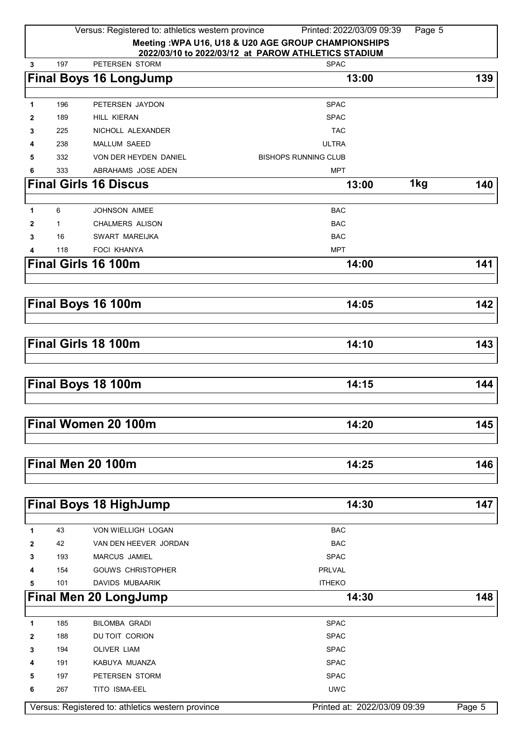|              |              | Versus: Registered to: athletics western province | Printed: 2022/03/09 09:39                            | Page 5 |        |
|--------------|--------------|---------------------------------------------------|------------------------------------------------------|--------|--------|
|              |              |                                                   | Meeting : WPA U16, U18 & U20 AGE GROUP CHAMPIONSHIPS |        |        |
|              |              |                                                   | 2022/03/10 to 2022/03/12 at PAROW ATHLETICS STADIUM  |        |        |
| 3            | 197          | PETERSEN STORM                                    | <b>SPAC</b>                                          |        |        |
|              |              | <b>Final Boys 16 LongJump</b>                     | 13:00                                                |        | 139    |
|              |              |                                                   |                                                      |        |        |
| 1            | 196          | PETERSEN JAYDON                                   | <b>SPAC</b>                                          |        |        |
| 2            | 189          | <b>HILL KIERAN</b>                                | <b>SPAC</b>                                          |        |        |
| 3            | 225          | NICHOLL ALEXANDER                                 | <b>TAC</b>                                           |        |        |
| 4            | 238          | <b>MALLUM SAEED</b>                               | <b>ULTRA</b>                                         |        |        |
| 5            | 332          | VON DER HEYDEN DANIEL                             | <b>BISHOPS RUNNING CLUB</b>                          |        |        |
| 6            | 333          | ABRAHAMS JOSE ADEN                                | <b>MPT</b>                                           |        |        |
|              |              | <b>Final Girls 16 Discus</b>                      | 13:00                                                | 1kg    | 140    |
|              |              |                                                   |                                                      |        |        |
| 1            | 6            | <b>JOHNSON AIMEE</b>                              | <b>BAC</b>                                           |        |        |
| 2            | $\mathbf{1}$ | <b>CHALMERS ALISON</b>                            | <b>BAC</b>                                           |        |        |
| 3            | 16           | SWART MAREIJKA                                    | <b>BAC</b>                                           |        |        |
|              | 118          | <b>FOCI KHANYA</b>                                | <b>MPT</b>                                           |        |        |
|              |              | Final Girls 16 100m                               | 14:00                                                |        | 141    |
|              |              |                                                   |                                                      |        |        |
|              |              |                                                   |                                                      |        |        |
|              |              | Final Boys 16 100m                                | 14:05                                                |        | 142    |
|              |              |                                                   |                                                      |        |        |
|              |              |                                                   |                                                      |        |        |
|              |              | Final Girls 18 100m                               | 14:10                                                |        | 143    |
|              |              |                                                   |                                                      |        |        |
|              |              |                                                   |                                                      |        |        |
|              |              | Final Boys 18 100m                                | 14:15                                                |        | 144    |
|              |              |                                                   |                                                      |        |        |
|              |              |                                                   |                                                      |        |        |
|              |              | Final Women 20 100m                               | 14:20                                                |        | 145    |
|              |              |                                                   |                                                      |        |        |
|              |              |                                                   |                                                      |        |        |
|              |              | Final Men 20 100m                                 | 14:25                                                |        | 146    |
|              |              |                                                   |                                                      |        |        |
|              |              |                                                   |                                                      |        |        |
|              |              | <b>Final Boys 18 HighJump</b>                     | 14:30                                                |        | 147    |
|              |              |                                                   |                                                      |        |        |
| 1            | 43           | VON WIELLIGH LOGAN                                | <b>BAC</b>                                           |        |        |
| 2            | 42           | VAN DEN HEEVER JORDAN                             | <b>BAC</b>                                           |        |        |
| 3            | 193          | MARCUS JAMIEL                                     | <b>SPAC</b>                                          |        |        |
| 4            | 154          | <b>GOUWS CHRISTOPHER</b>                          | PRLVAL                                               |        |        |
| 5            | 101          | DAVIDS MUBAARIK                                   | <b>ITHEKO</b>                                        |        |        |
|              |              | <b>Final Men 20 LongJump</b>                      | 14:30                                                |        | 148    |
|              |              |                                                   |                                                      |        |        |
| $\mathbf{1}$ | 185          | <b>BILOMBA GRADI</b>                              | <b>SPAC</b>                                          |        |        |
| 2            | 188          | DU TOIT CORION                                    | <b>SPAC</b>                                          |        |        |
| 3            | 194          | OLIVER LIAM                                       | <b>SPAC</b>                                          |        |        |
| 4            | 191          | KABUYA MUANZA                                     | <b>SPAC</b>                                          |        |        |
| 5            | 197          | PETERSEN STORM                                    | <b>SPAC</b>                                          |        |        |
| 6            | 267          | TITO ISMA-EEL                                     | <b>UWC</b>                                           |        |        |
|              |              | Versus: Registered to: athletics western province | Printed at: 2022/03/09 09:39                         |        | Page 5 |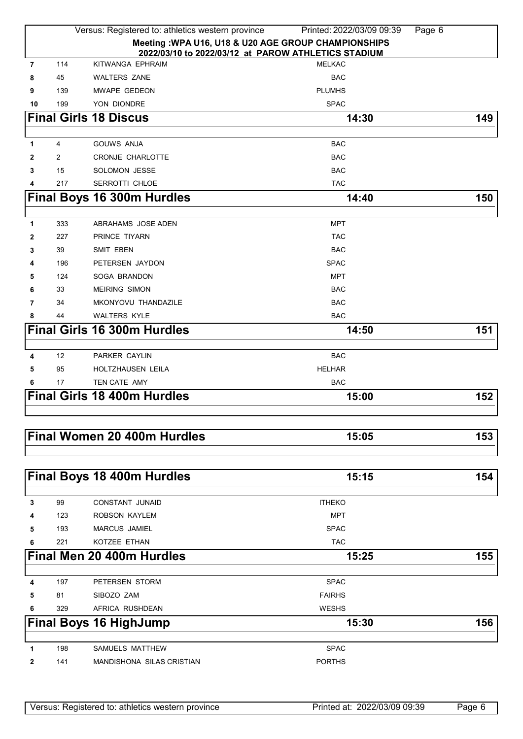|                |     | Versus: Registered to: athletics western province   | Printed: 2022/03/09 09:39                           | Page 6 |
|----------------|-----|-----------------------------------------------------|-----------------------------------------------------|--------|
|                |     | 2022/03/10 to 2022/03/12 at PAROW ATHLETICS STADIUM | Meeting: WPA U16, U18 & U20 AGE GROUP CHAMPIONSHIPS |        |
| $\overline{7}$ | 114 | KITWANGA EPHRAIM                                    | <b>MELKAC</b>                                       |        |
| 8              | 45  | <b>WALTERS ZANE</b>                                 | <b>BAC</b>                                          |        |
| 9              | 139 | MWAPE GEDEON                                        | <b>PLUMHS</b>                                       |        |
| 10             | 199 | YON DIONDRE                                         | <b>SPAC</b>                                         |        |
|                |     | <b>Final Girls 18 Discus</b>                        | 14:30                                               | 149    |
|                |     |                                                     |                                                     |        |
| 1              | 4   | <b>GOUWS ANJA</b>                                   | <b>BAC</b>                                          |        |
| 2              | 2   | CRONJE CHARLOTTE                                    | <b>BAC</b>                                          |        |
| 3              | 15  | SOLOMON JESSE                                       | <b>BAC</b>                                          |        |
| 4              | 217 | SERROTTI CHLOE                                      | <b>TAC</b>                                          |        |
|                |     | <b>Final Boys 16 300m Hurdles</b>                   | 14:40                                               | 150    |
| 1              | 333 | ABRAHAMS JOSE ADEN                                  | MPT                                                 |        |
| 2              | 227 | PRINCE TIYARN                                       | <b>TAC</b>                                          |        |
| 3              | 39  | <b>SMIT EBEN</b>                                    | <b>BAC</b>                                          |        |
| 4              | 196 | PETERSEN JAYDON                                     | <b>SPAC</b>                                         |        |
| 5              | 124 | SOGA BRANDON                                        | <b>MPT</b>                                          |        |
| 6              | 33  | <b>MEIRING SIMON</b>                                | <b>BAC</b>                                          |        |
| 7              | 34  | MKONYOVU THANDAZILE                                 | <b>BAC</b>                                          |        |
| 8              | 44  | <b>WALTERS KYLE</b>                                 | <b>BAC</b>                                          |        |
|                |     | <b>Final Girls 16 300m Hurdles</b>                  | 14:50                                               | 151    |
|                |     |                                                     |                                                     |        |
| 4              | 12  | PARKER CAYLIN                                       | <b>BAC</b>                                          |        |
| 5              | 95  | <b>HOLTZHAUSEN LEILA</b>                            | <b>HELHAR</b>                                       |        |
| 6              | 17  | TEN CATE AMY                                        | <b>BAC</b>                                          |        |
|                |     | <b>Final Girls 18 400m Hurdles</b>                  | 15:00                                               | 152    |
|                |     |                                                     |                                                     |        |
|                |     | Final Women 20 400m Hurdles                         | 15:05                                               | 153    |
|                |     |                                                     |                                                     |        |
|                |     |                                                     |                                                     |        |
|                |     | Final Boys 18 400m Hurdles                          | 15:15                                               | 154    |
| 3              | 99  | <b>CONSTANT JUNAID</b>                              | <b>ITHEKO</b>                                       |        |
| 4              | 123 | ROBSON KAYLEM                                       | <b>MPT</b>                                          |        |
| 5              | 193 | <b>MARCUS JAMIEL</b>                                | <b>SPAC</b>                                         |        |
| 6              | 221 | KOTZEE ETHAN                                        | <b>TAC</b>                                          |        |
|                |     | Final Men 20 400m Hurdles                           | 15:25                                               | 155    |
|                |     |                                                     |                                                     |        |
| 4              | 197 | PETERSEN STORM                                      | <b>SPAC</b>                                         |        |
| 5              | 81  | SIBOZO ZAM                                          | <b>FAIRHS</b>                                       |        |
| 6              | 329 | AFRICA RUSHDEAN                                     | <b>WESHS</b>                                        |        |
|                |     | <b>Final Boys 16 HighJump</b>                       | 15:30                                               | 156    |
| 1              | 198 | SAMUELS MATTHEW                                     | <b>SPAC</b>                                         |        |
| 2              | 141 | MANDISHONA SILAS CRISTIAN                           | <b>PORTHS</b>                                       |        |
|                |     |                                                     |                                                     |        |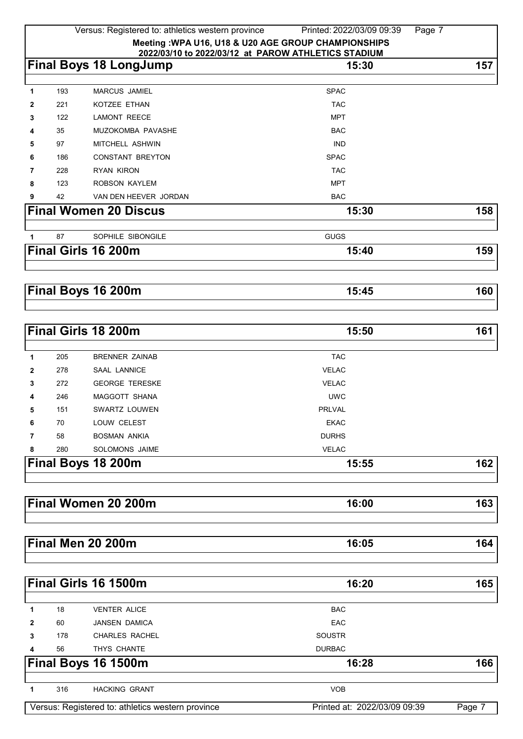|   |     | Versus: Registered to: athletics western province   | Printed: 2022/03/09 09:39 | Page 7 |
|---|-----|-----------------------------------------------------|---------------------------|--------|
|   |     | Meeting: WPA U16, U18 & U20 AGE GROUP CHAMPIONSHIPS |                           |        |
|   |     | 2022/03/10 to 2022/03/12 at PAROW ATHLETICS STADIUM |                           |        |
|   |     | <b>Final Boys 18 LongJump</b>                       | 15:30                     | 157    |
|   |     |                                                     |                           |        |
| 1 | 193 | <b>MARCUS JAMIEL</b>                                | <b>SPAC</b>               |        |
| 2 | 221 | KOTZEE ETHAN                                        | <b>TAC</b>                |        |
| 3 | 122 | <b>LAMONT REECE</b>                                 | <b>MPT</b>                |        |
| 4 | 35  | MUZOKOMBA PAVASHE                                   | <b>BAC</b>                |        |
| 5 | 97  | MITCHELL ASHWIN                                     | <b>IND</b>                |        |
| 6 | 186 | <b>CONSTANT BREYTON</b>                             | <b>SPAC</b>               |        |
| 7 | 228 | <b>RYAN KIRON</b>                                   | <b>TAC</b>                |        |
| 8 | 123 | <b>ROBSON KAYLEM</b>                                | <b>MPT</b>                |        |
| 9 | 42  | VAN DEN HEEVER JORDAN                               | <b>BAC</b>                |        |
|   |     | <b>Final Women 20 Discus</b>                        | 15:30                     | 158    |
|   | 87  | SOPHILE SIBONGILE                                   | <b>GUGS</b>               |        |
|   |     | Final Girls 16 200m                                 | 15:40                     | 159    |
|   |     |                                                     |                           |        |
|   |     | Final Boys 16 200m                                  | 15:45                     | 160    |

|     | <b>Final Girls 18 200m</b> | 15:50                     | 161 |
|-----|----------------------------|---------------------------|-----|
| 205 | <b>BRENNER ZAINAB</b>      | <b>TAC</b>                |     |
| 278 | <b>SAAL LANNICE</b>        | <b>VELAC</b>              |     |
| 272 | <b>GEORGE TERESKE</b>      | <b>VELAC</b>              |     |
| 246 | <b>MAGGOTT SHANA</b>       | <b>UWC</b>                |     |
| 151 | SWARTZ LOUWEN              | PRLVAL                    |     |
| 70  | LOUW CELEST                | <b>EKAC</b>               |     |
| 58  | <b>BOSMAN ANKIA</b>        | <b>DURHS</b>              |     |
| 280 | SOLOMONS JAIME             | <b>VELAC</b>              |     |
|     |                            | 15:55                     | 162 |
|     |                            | <b>Final Boys 18 200m</b> |     |

| <b>Final Women 20</b><br>200m |  |
|-------------------------------|--|
|                               |  |

| $\sim$ 200 $\sim$<br><b>Final Men 20 200m</b> | . . u v |  |  |
|-----------------------------------------------|---------|--|--|
|                                               |         |  |  |

|                                                   |     | Final Girls 16 1500m  | 16:20                        | 165    |
|---------------------------------------------------|-----|-----------------------|------------------------------|--------|
|                                                   | 18  | <b>VENTER ALICE</b>   | <b>BAC</b>                   |        |
| $\mathbf{2}$                                      | 60  | <b>JANSEN DAMICA</b>  | <b>EAC</b>                   |        |
| 3                                                 | 178 | <b>CHARLES RACHEL</b> | <b>SOUSTR</b>                |        |
| 4                                                 | 56  | THYS CHANTE           | <b>DURBAC</b>                |        |
| <b>Final Boys 16 1500m</b>                        |     |                       | 16:28                        | 166    |
|                                                   | 316 | <b>HACKING GRANT</b>  | <b>VOB</b>                   |        |
| Versus: Registered to: athletics western province |     |                       | Printed at: 2022/03/09 09:39 | Page 7 |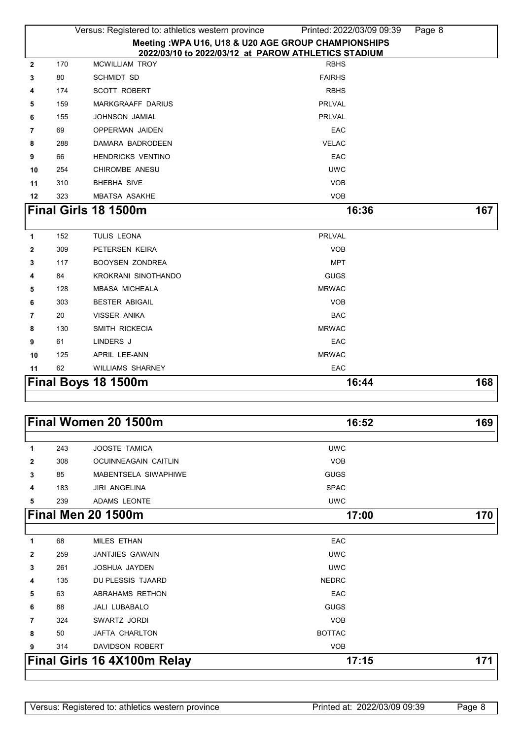|              |     | Versus: Registered to: athletics western province                            | Printed: 2022/03/09 09:39 | Page 8 |
|--------------|-----|------------------------------------------------------------------------------|---------------------------|--------|
|              |     | Meeting : WPA U16, U18 & U20 AGE GROUP CHAMPIONSHIPS                         |                           |        |
| $\mathbf{2}$ | 170 | 2022/03/10 to 2022/03/12 at PAROW ATHLETICS STADIUM<br><b>MCWILLIAM TROY</b> | <b>RBHS</b>               |        |
| 3            | 80  | <b>SCHMIDT SD</b>                                                            | <b>FAIRHS</b>             |        |
| 4            | 174 | <b>SCOTT ROBERT</b>                                                          | <b>RBHS</b>               |        |
| 5            | 159 | MARKGRAAFF DARIUS                                                            | <b>PRLVAL</b>             |        |
| 6            | 155 | JOHNSON JAMIAL                                                               | <b>PRLVAL</b>             |        |
| 7            | 69  | <b>OPPERMAN JAIDEN</b>                                                       | EAC                       |        |
| 8            | 288 | DAMARA BADRODEEN                                                             | <b>VELAC</b>              |        |
| 9            | 66  | <b>HENDRICKS VENTINO</b>                                                     | EAC                       |        |
| 10           | 254 | CHIROMBE ANESU                                                               | <b>UWC</b>                |        |
| 11           | 310 | <b>BHEBHA SIVE</b>                                                           | <b>VOB</b>                |        |
| 12           | 323 | <b>MBATSA ASAKHE</b>                                                         | <b>VOB</b>                |        |
|              |     | Final Girls 18 1500m                                                         | 16:36                     | 167    |
|              |     |                                                                              |                           |        |
| 1            | 152 | TULIS LEONA                                                                  | <b>PRLVAL</b>             |        |
| $\mathbf{2}$ | 309 | PETERSEN KEIRA                                                               | <b>VOB</b>                |        |
| 3            | 117 | <b>BOOYSEN ZONDREA</b>                                                       | <b>MPT</b>                |        |
| 4            | 84  | KROKRANI SINOTHANDO                                                          | <b>GUGS</b>               |        |
| 5            | 128 | <b>MBASA MICHEALA</b>                                                        | <b>MRWAC</b>              |        |
| 6            | 303 | <b>BESTER ABIGAIL</b>                                                        | <b>VOB</b>                |        |
| 7            | 20  | VISSER ANIKA                                                                 | <b>BAC</b>                |        |
| 8            | 130 | SMITH RICKECIA                                                               | <b>MRWAC</b>              |        |
| 9            | 61  | LINDERS J                                                                    | EAC                       |        |
| 10           | 125 | APRIL LEE-ANN                                                                | <b>MRWAC</b>              |        |
| 11           | 62  | <b>WILLIAMS SHARNEY</b>                                                      | EAC                       |        |
|              |     | Final Boys 18 1500m                                                          | 16:44                     | 168    |
|              |     |                                                                              |                           |        |

| Final Women 20 1500m |     |                                    | 16:52         | 169 |
|----------------------|-----|------------------------------------|---------------|-----|
| 1                    | 243 | <b>JOOSTE TAMICA</b>               | <b>UWC</b>    |     |
| $\mathbf{2}$         | 308 | <b>OCUINNEAGAIN CAITLIN</b>        | <b>VOB</b>    |     |
| 3                    | 85  | MABENTSELA SIWAPHIWE               | <b>GUGS</b>   |     |
| 4                    | 183 | <b>JIRI ANGELINA</b>               | <b>SPAC</b>   |     |
| 5                    | 239 | <b>ADAMS LEONTE</b>                | <b>UWC</b>    |     |
|                      |     | Final Men 20 1500m                 | 17:00         | 170 |
| 1                    | 68  | <b>MILES ETHAN</b>                 | EAC           |     |
| $\mathbf{2}$         | 259 | <b>JANTJIES GAWAIN</b>             | <b>UWC</b>    |     |
| 3                    | 261 | <b>JOSHUA JAYDEN</b>               | <b>UWC</b>    |     |
| 4                    | 135 | <b>DU PLESSIS TJAARD</b>           | <b>NEDRC</b>  |     |
| 5                    | 63  | ABRAHAMS RETHON                    | EAC           |     |
| 6                    | 88  | <b>JALI LUBABALO</b>               | GUGS          |     |
| 7                    | 324 | SWARTZ JORDI                       | <b>VOB</b>    |     |
| 8                    | 50  | <b>JAFTA CHARLTON</b>              | <b>BOTTAC</b> |     |
| 9                    | 314 | <b>DAVIDSON ROBERT</b>             | <b>VOB</b>    |     |
|                      |     | <b>Final Girls 16 4X100m Relay</b> | 17:15         | 171 |
|                      |     |                                    |               |     |